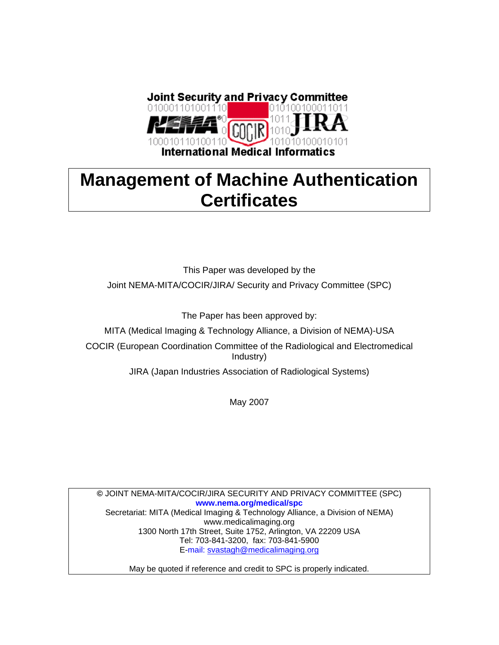

# **Management of Machine Authentication Certificates**

This Paper was developed by the Joint NEMA-MITA/COCIR/JIRA/ Security and Privacy Committee (SPC)

The Paper has been approved by:

MITA (Medical Imaging & Technology Alliance, a Division of NEMA)-USA

COCIR (European Coordination Committee of the Radiological and Electromedical Industry)

JIRA (Japan Industries Association of Radiological Systems)

May 2007

**©** JOINT NEMA-MITA/COCIR/JIRA SECURITY AND PRIVACY COMMITTEE (SPC) **www.nema.org/medical/spc**  Secretariat: MITA (Medical Imaging & Technology Alliance, a Division of NEMA) www.medicalimaging.org 1300 North 17th Street, Suite 1752, Arlington, VA 22209 USA Tel: 703-841-3200, fax: 703-841-5900 E-mail: svastagh@medicalimaging.org

May be quoted if reference and credit to SPC is properly indicated.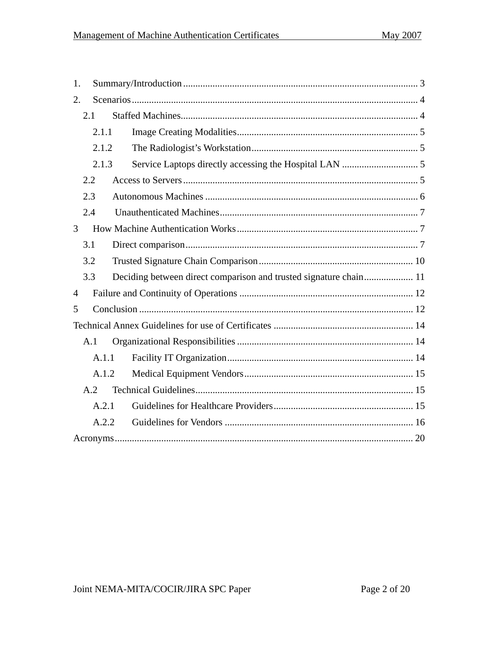| 1.             |       |                                                                   |  |  |  |
|----------------|-------|-------------------------------------------------------------------|--|--|--|
| 2.             |       |                                                                   |  |  |  |
|                | 2.1   |                                                                   |  |  |  |
|                | 2.1.1 |                                                                   |  |  |  |
| 2.1.2          |       |                                                                   |  |  |  |
|                | 2.1.3 |                                                                   |  |  |  |
|                | 2.2   |                                                                   |  |  |  |
|                | 2.3   |                                                                   |  |  |  |
|                | 2.4   |                                                                   |  |  |  |
| 3              |       |                                                                   |  |  |  |
| 3.1            |       |                                                                   |  |  |  |
|                | 3.2   |                                                                   |  |  |  |
|                | 3.3   | Deciding between direct comparison and trusted signature chain 11 |  |  |  |
| $\overline{4}$ |       |                                                                   |  |  |  |
| 5              |       |                                                                   |  |  |  |
|                |       |                                                                   |  |  |  |
|                | A.1   |                                                                   |  |  |  |
|                | A.1.1 |                                                                   |  |  |  |
| A.1.2          |       |                                                                   |  |  |  |
| A.2            |       |                                                                   |  |  |  |
|                | A.2.1 |                                                                   |  |  |  |
|                | A.2.2 |                                                                   |  |  |  |
|                |       |                                                                   |  |  |  |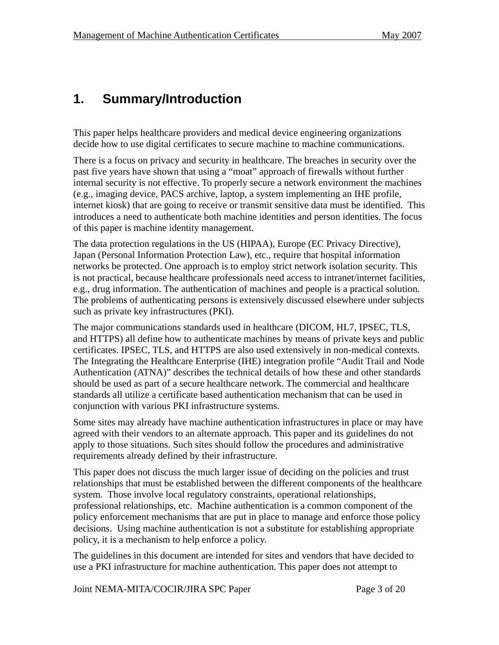## **1. Summary/Introduction**

This paper helps healthcare providers and medical device engineering organizations decide how to use digital certificates to secure machine to machine communications.

There is a focus on privacy and security in healthcare. The breaches in security over the past five years have shown that using a "moat" approach of firewalls without further internal security is not effective. To properly secure a network environment the machines (e.g., imaging device, PACS archive, laptop, a system implementing an IHE profile, internet kiosk) that are going to receive or transmit sensitive data must be identified. This introduces a need to authenticate both machine identities and person identities. The focus of this paper is machine identity management.

The data protection regulations in the US (HIPAA), Europe (EC Privacy Directive), Japan (Personal Information Protection Law), etc., require that hospital information networks be protected. One approach is to employ strict network isolation security. This is not practical, because healthcare professionals need access to intranet/internet facilities, e.g., drug information. The authentication of machines and people is a practical solution. The problems of authenticating persons is extensively discussed elsewhere under subjects such as private key infrastructures (PKI).

The major communications standards used in healthcare (DICOM, HL7, IPSEC, TLS, and HTTPS) all define how to authenticate machines by means of private keys and public certificates. IPSEC, TLS, and HTTPS are also used extensively in non-medical contexts. The Integrating the Healthcare Enterprise (IHE) integration profile "Audit Trail and Node Authentication (ATNA)" describes the technical details of how these and other standards should be used as part of a secure healthcare network. The commercial and healthcare standards all utilize a certificate based authentication mechanism that can be used in conjunction with various PKI infrastructure systems.

Some sites may already have machine authentication infrastructures in place or may have agreed with their vendors to an alternate approach. This paper and its guidelines do not apply to those situations. Such sites should follow the procedures and administrative requirements already defined by their infrastructure.

This paper does not discuss the much larger issue of deciding on the policies and trust relationships that must be established between the different components of the healthcare system. Those involve local regulatory constraints, operational relationships, professional relationships, etc. Machine authentication is a common component of the policy enforcement mechanisms that are put in place to manage and enforce those policy decisions. Using machine authentication is not a substitute for establishing appropriate policy, it is a mechanism to help enforce a policy.

The guidelines in this document are intended for sites and vendors that have decided to use a PKI infrastructure for machine authentication. This paper does not attempt to

Joint NEMA-MITA/COCIR/JIRA SPC Paper Page 3 of 20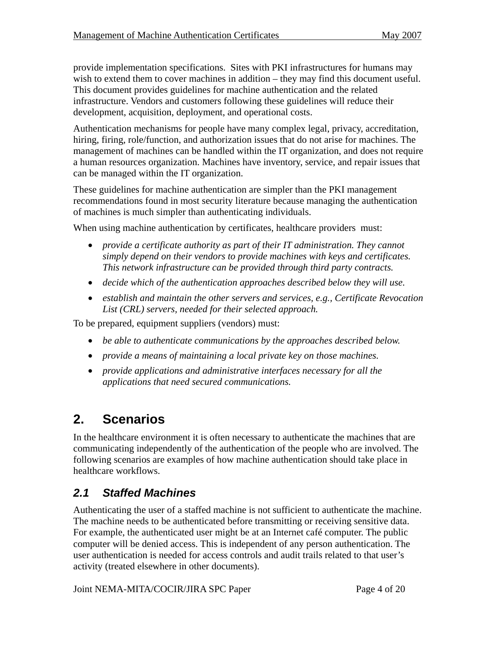provide implementation specifications. Sites with PKI infrastructures for humans may wish to extend them to cover machines in addition – they may find this document useful. This document provides guidelines for machine authentication and the related infrastructure. Vendors and customers following these guidelines will reduce their development, acquisition, deployment, and operational costs.

Authentication mechanisms for people have many complex legal, privacy, accreditation, hiring, firing, role/function, and authorization issues that do not arise for machines. The management of machines can be handled within the IT organization, and does not require a human resources organization. Machines have inventory, service, and repair issues that can be managed within the IT organization.

These guidelines for machine authentication are simpler than the PKI management recommendations found in most security literature because managing the authentication of machines is much simpler than authenticating individuals.

When using machine authentication by certificates, healthcare providers must:

- *provide a certificate authority as part of their IT administration. They cannot simply depend on their vendors to provide machines with keys and certificates. This network infrastructure can be provided through third party contracts.*
- *decide which of the authentication approaches described below they will use.*
- *establish and maintain the other servers and services, e.g., Certificate Revocation List (CRL) servers, needed for their selected approach.*

To be prepared, equipment suppliers (vendors) must:

- *be able to authenticate communications by the approaches described below.*
- *provide a means of maintaining a local private key on those machines.*
- *provide applications and administrative interfaces necessary for all the applications that need secured communications.*

## **2. Scenarios**

In the healthcare environment it is often necessary to authenticate the machines that are communicating independently of the authentication of the people who are involved. The following scenarios are examples of how machine authentication should take place in healthcare workflows.

### *2.1 Staffed Machines*

Authenticating the user of a staffed machine is not sufficient to authenticate the machine. The machine needs to be authenticated before transmitting or receiving sensitive data. For example, the authenticated user might be at an Internet café computer. The public computer will be denied access. This is independent of any person authentication. The user authentication is needed for access controls and audit trails related to that user's activity (treated elsewhere in other documents).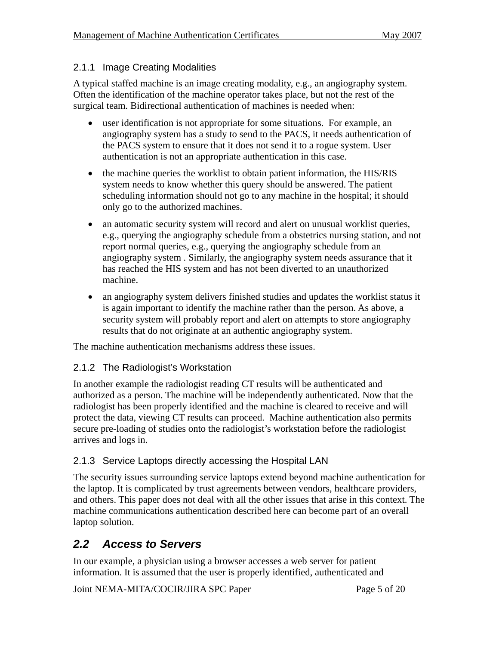#### 2.1.1 Image Creating Modalities

A typical staffed machine is an image creating modality, e.g., an angiography system. Often the identification of the machine operator takes place, but not the rest of the surgical team. Bidirectional authentication of machines is needed when:

- user identification is not appropriate for some situations. For example, an angiography system has a study to send to the PACS, it needs authentication of the PACS system to ensure that it does not send it to a rogue system. User authentication is not an appropriate authentication in this case.
- the machine queries the worklist to obtain patient information, the HIS/RIS system needs to know whether this query should be answered. The patient scheduling information should not go to any machine in the hospital; it should only go to the authorized machines.
- an automatic security system will record and alert on unusual worklist queries, e.g., querying the angiography schedule from a obstetrics nursing station, and not report normal queries, e.g., querying the angiography schedule from an angiography system . Similarly, the angiography system needs assurance that it has reached the HIS system and has not been diverted to an unauthorized machine.
- an angiography system delivers finished studies and updates the worklist status it is again important to identify the machine rather than the person. As above, a security system will probably report and alert on attempts to store angiography results that do not originate at an authentic angiography system.

The machine authentication mechanisms address these issues.

#### 2.1.2 The Radiologist's Workstation

In another example the radiologist reading CT results will be authenticated and authorized as a person. The machine will be independently authenticated. Now that the radiologist has been properly identified and the machine is cleared to receive and will protect the data, viewing CT results can proceed. Machine authentication also permits secure pre-loading of studies onto the radiologist's workstation before the radiologist arrives and logs in.

#### 2.1.3 Service Laptops directly accessing the Hospital LAN

The security issues surrounding service laptops extend beyond machine authentication for the laptop. It is complicated by trust agreements between vendors, healthcare providers, and others. This paper does not deal with all the other issues that arise in this context. The machine communications authentication described here can become part of an overall laptop solution.

### *2.2 Access to Servers*

In our example, a physician using a browser accesses a web server for patient information. It is assumed that the user is properly identified, authenticated and

Joint NEMA-MITA/COCIR/JIRA SPC Paper Page 5 of 20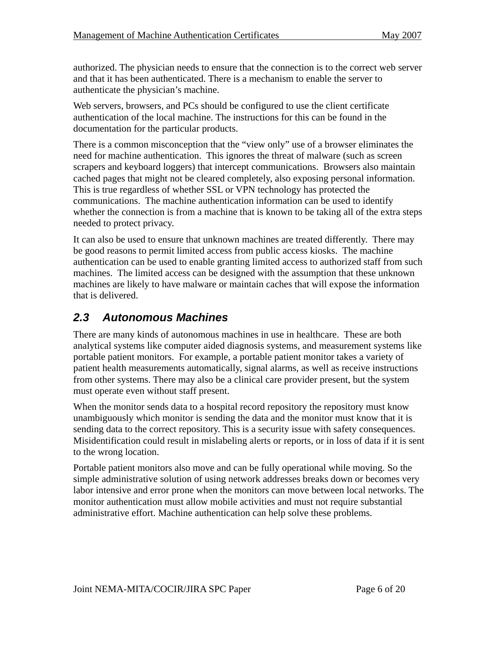authorized. The physician needs to ensure that the connection is to the correct web server and that it has been authenticated. There is a mechanism to enable the server to authenticate the physician's machine.

Web servers, browsers, and PCs should be configured to use the client certificate authentication of the local machine. The instructions for this can be found in the documentation for the particular products.

There is a common misconception that the "view only" use of a browser eliminates the need for machine authentication. This ignores the threat of malware (such as screen scrapers and keyboard loggers) that intercept communications. Browsers also maintain cached pages that might not be cleared completely, also exposing personal information. This is true regardless of whether SSL or VPN technology has protected the communications. The machine authentication information can be used to identify whether the connection is from a machine that is known to be taking all of the extra steps needed to protect privacy.

It can also be used to ensure that unknown machines are treated differently. There may be good reasons to permit limited access from public access kiosks. The machine authentication can be used to enable granting limited access to authorized staff from such machines. The limited access can be designed with the assumption that these unknown machines are likely to have malware or maintain caches that will expose the information that is delivered.

### *2.3 Autonomous Machines*

There are many kinds of autonomous machines in use in healthcare. These are both analytical systems like computer aided diagnosis systems, and measurement systems like portable patient monitors. For example, a portable patient monitor takes a variety of patient health measurements automatically, signal alarms, as well as receive instructions from other systems. There may also be a clinical care provider present, but the system must operate even without staff present.

When the monitor sends data to a hospital record repository the repository must know unambiguously which monitor is sending the data and the monitor must know that it is sending data to the correct repository. This is a security issue with safety consequences. Misidentification could result in mislabeling alerts or reports, or in loss of data if it is sent to the wrong location.

Portable patient monitors also move and can be fully operational while moving. So the simple administrative solution of using network addresses breaks down or becomes very labor intensive and error prone when the monitors can move between local networks. The monitor authentication must allow mobile activities and must not require substantial administrative effort. Machine authentication can help solve these problems.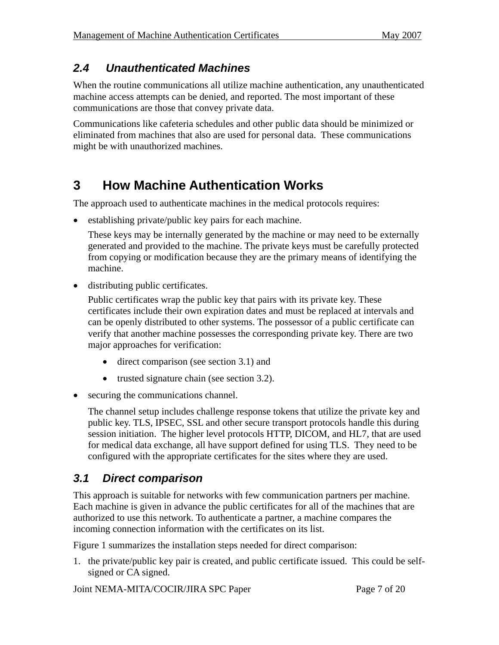## *2.4 Unauthenticated Machines*

When the routine communications all utilize machine authentication, any unauthenticated machine access attempts can be denied, and reported. The most important of these communications are those that convey private data.

Communications like cafeteria schedules and other public data should be minimized or eliminated from machines that also are used for personal data. These communications might be with unauthorized machines.

## **3 How Machine Authentication Works**

The approach used to authenticate machines in the medical protocols requires:

• establishing private/public key pairs for each machine.

These keys may be internally generated by the machine or may need to be externally generated and provided to the machine. The private keys must be carefully protected from copying or modification because they are the primary means of identifying the machine.

• distributing public certificates.

Public certificates wrap the public key that pairs with its private key. These certificates include their own expiration dates and must be replaced at intervals and can be openly distributed to other systems. The possessor of a public certificate can verify that another machine possesses the corresponding private key. There are two major approaches for verification:

- direct comparison (see section 3.1) and
- trusted signature chain (see section 3.2).
- securing the communications channel.

The channel setup includes challenge response tokens that utilize the private key and public key. TLS, IPSEC, SSL and other secure transport protocols handle this during session initiation. The higher level protocols HTTP, DICOM, and HL7, that are used for medical data exchange, all have support defined for using TLS. They need to be configured with the appropriate certificates for the sites where they are used.

### *3.1 Direct comparison*

This approach is suitable for networks with few communication partners per machine. Each machine is given in advance the public certificates for all of the machines that are authorized to use this network. To authenticate a partner, a machine compares the incoming connection information with the certificates on its list.

Figure 1 summarizes the installation steps needed for direct comparison:

1. the private/public key pair is created, and public certificate issued. This could be selfsigned or CA signed.

Joint NEMA-MITA/COCIR/JIRA SPC Paper Page 7 of 20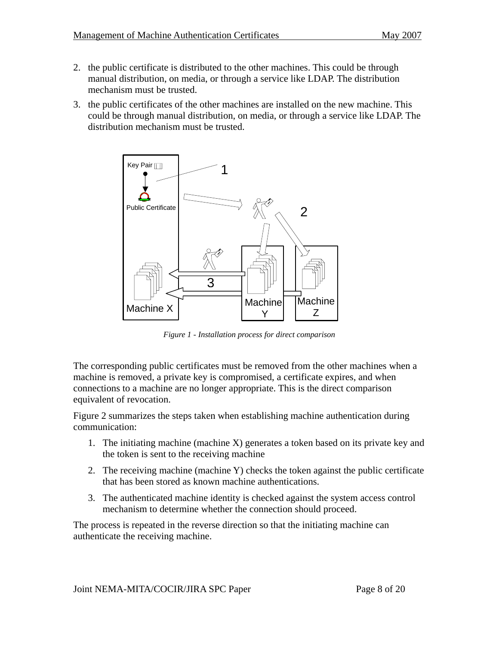- 2. the public certificate is distributed to the other machines. This could be through manual distribution, on media, or through a service like LDAP. The distribution mechanism must be trusted.
- 3. the public certificates of the other machines are installed on the new machine. This could be through manual distribution, on media, or through a service like LDAP. The distribution mechanism must be trusted.



*Figure 1 - Installation process for direct comparison* 

The corresponding public certificates must be removed from the other machines when a machine is removed, a private key is compromised, a certificate expires, and when connections to a machine are no longer appropriate. This is the direct comparison equivalent of revocation.

Figure 2 summarizes the steps taken when establishing machine authentication during communication:

- 1. The initiating machine (machine X) generates a token based on its private key and the token is sent to the receiving machine
- 2. The receiving machine (machine Y) checks the token against the public certificate that has been stored as known machine authentications.
- 3. The authenticated machine identity is checked against the system access control mechanism to determine whether the connection should proceed.

The process is repeated in the reverse direction so that the initiating machine can authenticate the receiving machine.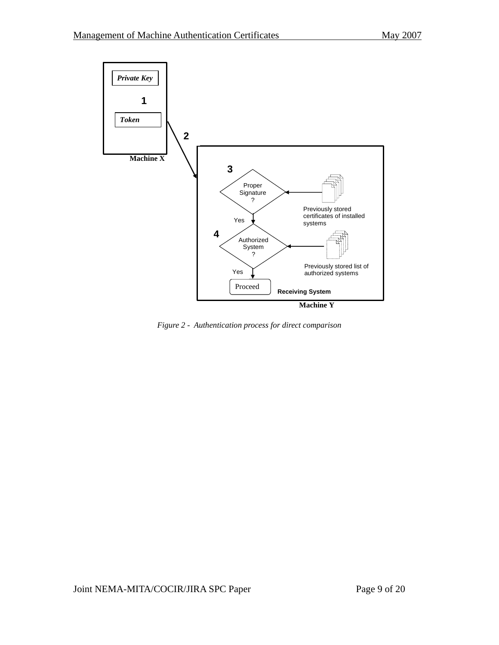

*Figure 2 - Authentication process for direct comparison*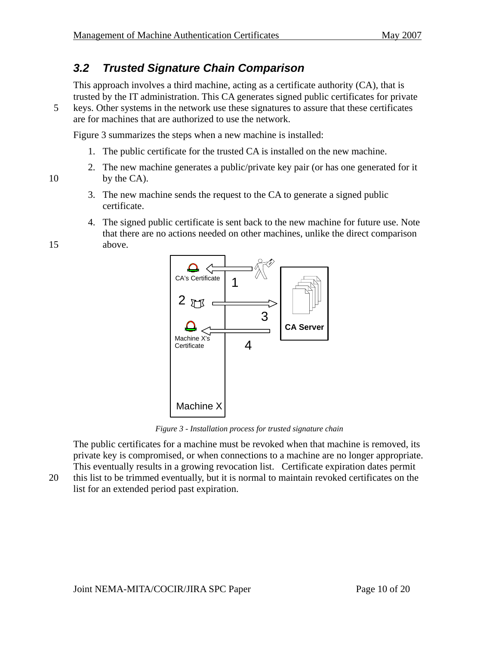## *3.2 Trusted Signature Chain Comparison*

This approach involves a third machine, acting as a certificate authority (CA), that is trusted by the IT administration. This CA generates signed public certificates for private

5 keys. Other systems in the network use these signatures to assure that these certificates are for machines that are authorized to use the network.

Figure 3 summarizes the steps when a new machine is installed:

- 1. The public certificate for the trusted CA is installed on the new machine.
- 2. The new machine generates a public/private key pair (or has one generated for it 10 by the CA).
	- 3. The new machine sends the request to the CA to generate a signed public certificate.
- 4. The signed public certificate is sent back to the new machine for future use. Note that there are no actions needed on other machines, unlike the direct comparison 15 above.



*Figure 3 - Installation process for trusted signature chain* 

The public certificates for a machine must be revoked when that machine is removed, its private key is compromised, or when connections to a machine are no longer appropriate. This eventually results in a growing revocation list. Certificate expiration dates permit

20 this list to be trimmed eventually, but it is normal to maintain revoked certificates on the list for an extended period past expiration.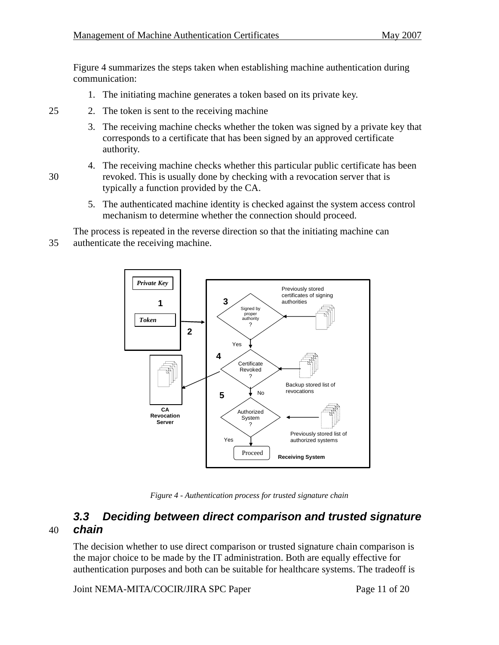Figure 4 summarizes the steps taken when establishing machine authentication during communication:

1. The initiating machine generates a token based on its private key.

#### 25 2. The token is sent to the receiving machine

- 3. The receiving machine checks whether the token was signed by a private key that corresponds to a certificate that has been signed by an approved certificate authority.
- 4. The receiving machine checks whether this particular public certificate has been 30 revoked. This is usually done by checking with a revocation server that is typically a function provided by the CA.
	- 5. The authenticated machine identity is checked against the system access control mechanism to determine whether the connection should proceed.

The process is repeated in the reverse direction so that the initiating machine can

35 authenticate the receiving machine.



*Figure 4 - Authentication process for trusted signature chain* 

### *3.3 Deciding between direct comparison and trusted signature*  40 *chain*

The decision whether to use direct comparison or trusted signature chain comparison is the major choice to be made by the IT administration. Both are equally effective for authentication purposes and both can be suitable for healthcare systems. The tradeoff is

Joint NEMA-MITA/COCIR/JIRA SPC Paper Page 11 of 20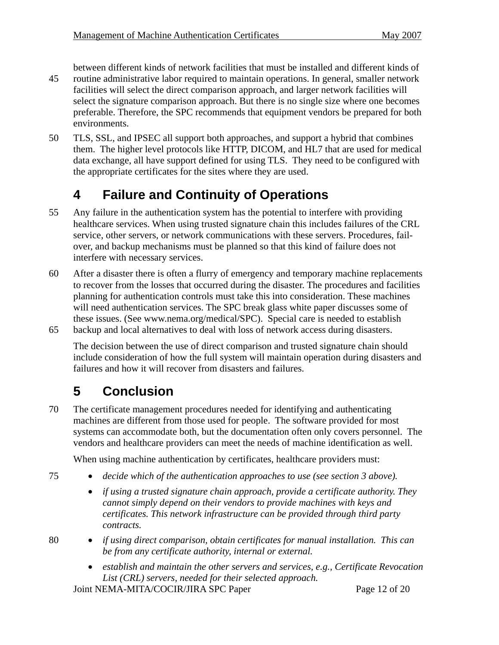between different kinds of network facilities that must be installed and different kinds of

- 45 routine administrative labor required to maintain operations. In general, smaller network facilities will select the direct comparison approach, and larger network facilities will select the signature comparison approach. But there is no single size where one becomes preferable. Therefore, the SPC recommends that equipment vendors be prepared for both environments.
- 50 TLS, SSL, and IPSEC all support both approaches, and support a hybrid that combines them. The higher level protocols like HTTP, DICOM, and HL7 that are used for medical data exchange, all have support defined for using TLS. They need to be configured with the appropriate certificates for the sites where they are used.

## **4 Failure and Continuity of Operations**

- 55 Any failure in the authentication system has the potential to interfere with providing healthcare services. When using trusted signature chain this includes failures of the CRL service, other servers, or network communications with these servers. Procedures, failover, and backup mechanisms must be planned so that this kind of failure does not interfere with necessary services.
- 60 After a disaster there is often a flurry of emergency and temporary machine replacements to recover from the losses that occurred during the disaster. The procedures and facilities planning for authentication controls must take this into consideration. These machines will need authentication services. The SPC break glass white paper discusses some of these issues. (See www.nema.org/medical/SPC). Special care is needed to establish 65 backup and local alternatives to deal with loss of network access during disasters.

The decision between the use of direct comparison and trusted signature chain should include consideration of how the full system will maintain operation during disasters and failures and how it will recover from disasters and failures.

## **5 Conclusion**

70 The certificate management procedures needed for identifying and authenticating machines are different from those used for people. The software provided for most systems can accommodate both, but the documentation often only covers personnel. The vendors and healthcare providers can meet the needs of machine identification as well.

When using machine authentication by certificates, healthcare providers must:

- 75 *decide which of the authentication approaches to use (see section 3 above).* 
	- *if using a trusted signature chain approach, provide a certificate authority. They cannot simply depend on their vendors to provide machines with keys and certificates. This network infrastructure can be provided through third party contracts.*
- 
- 80 *if using direct comparison, obtain certificates for manual installation. This can be from any certificate authority, internal or external.* 
	- *establish and maintain the other servers and services, e.g., Certificate Revocation List (CRL) servers, needed for their selected approach.*

Joint NEMA-MITA/COCIR/JIRA SPC Paper Page 12 of 20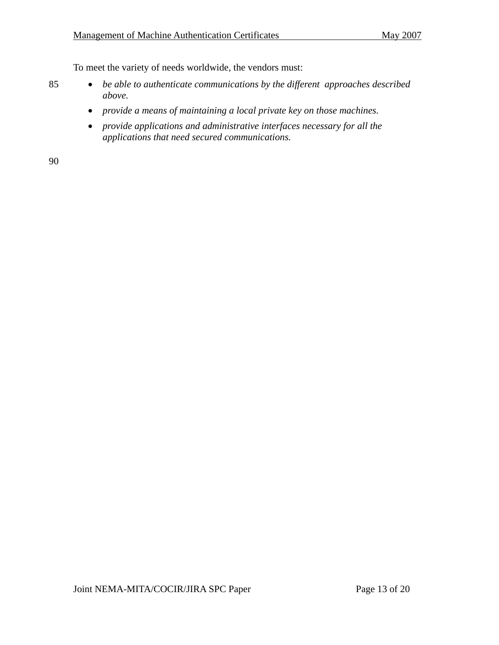To meet the variety of needs worldwide, the vendors must:

- 85 *be able to authenticate communications by the different approaches described above.* 
	- *provide a means of maintaining a local private key on those machines.*
	- *provide applications and administrative interfaces necessary for all the applications that need secured communications.*

90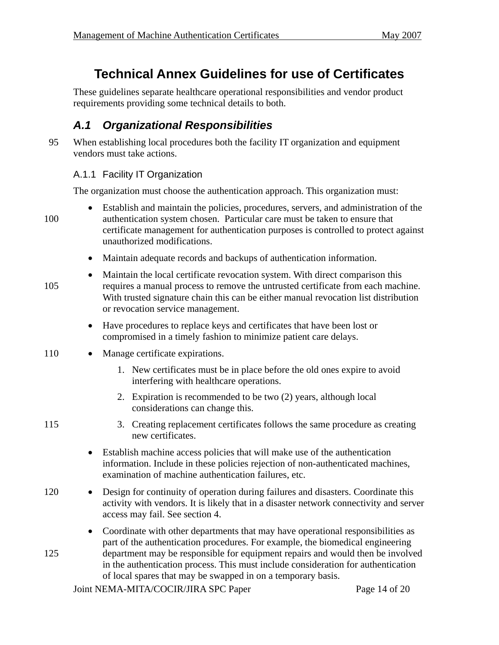## **Technical Annex Guidelines for use of Certificates**

These guidelines separate healthcare operational responsibilities and vendor product requirements providing some technical details to both.

## *A.1 Organizational Responsibilities*

95 When establishing local procedures both the facility IT organization and equipment vendors must take actions.

#### A.1.1 Facility IT Organization

The organization must choose the authentication approach. This organization must:

- Establish and maintain the policies, procedures, servers, and administration of the 100 authentication system chosen. Particular care must be taken to ensure that certificate management for authentication purposes is controlled to protect against unauthorized modifications.
	- Maintain adequate records and backups of authentication information.
- Maintain the local certificate revocation system. With direct comparison this 105 requires a manual process to remove the untrusted certificate from each machine. With trusted signature chain this can be either manual revocation list distribution or revocation service management.
	- Have procedures to replace keys and certificates that have been lost or compromised in a timely fashion to minimize patient care delays.
- 110 Manage certificate expirations.
	- 1. New certificates must be in place before the old ones expire to avoid interfering with healthcare operations.
	- 2. Expiration is recommended to be two (2) years, although local considerations can change this.
- 
- 115 3. Creating replacement certificates follows the same procedure as creating new certificates.
	- Establish machine access policies that will make use of the authentication information. Include in these policies rejection of non-authenticated machines, examination of machine authentication failures, etc.
- 120 Design for continuity of operation during failures and disasters. Coordinate this activity with vendors. It is likely that in a disaster network connectivity and server access may fail. See section 4.
- Coordinate with other departments that may have operational responsibilities as part of the authentication procedures. For example, the biomedical engineering 125 department may be responsible for equipment repairs and would then be involved in the authentication process. This must include consideration for authentication of local spares that may be swapped in on a temporary basis.

Joint NEMA-MITA/COCIR/JIRA SPC Paper Page 14 of 20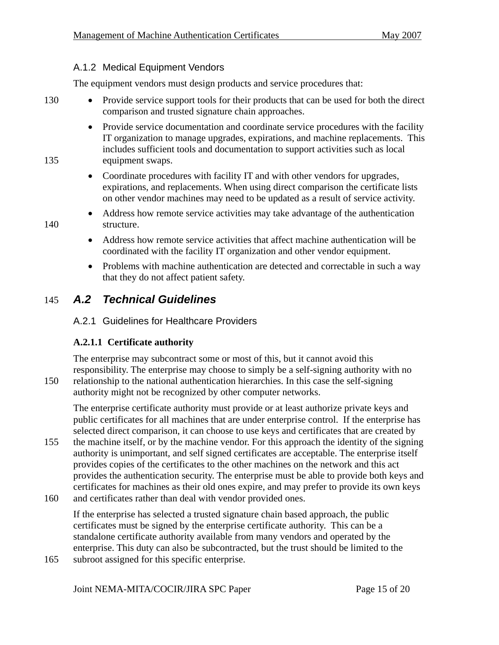#### A.1.2 Medical Equipment Vendors

The equipment vendors must design products and service procedures that:

- 130 Provide service support tools for their products that can be used for both the direct comparison and trusted signature chain approaches.
- Provide service documentation and coordinate service procedures with the facility IT organization to manage upgrades, expirations, and machine replacements. This includes sufficient tools and documentation to support activities such as local 135 equipment swaps.
	- Coordinate procedures with facility IT and with other vendors for upgrades, expirations, and replacements. When using direct comparison the certificate lists on other vendor machines may need to be updated as a result of service activity.
- Address how remote service activities may take advantage of the authentication 140 structure.
	- Address how remote service activities that affect machine authentication will be coordinated with the facility IT organization and other vendor equipment.
	- Problems with machine authentication are detected and correctable in such a way that they do not affect patient safety.

### 145 *A.2 Technical Guidelines*

#### A.2.1 Guidelines for Healthcare Providers

#### **A.2.1.1 Certificate authority**

The enterprise may subcontract some or most of this, but it cannot avoid this responsibility. The enterprise may choose to simply be a self-signing authority with no 150 relationship to the national authentication hierarchies. In this case the self-signing authority might not be recognized by other computer networks.

The enterprise certificate authority must provide or at least authorize private keys and public certificates for all machines that are under enterprise control. If the enterprise has selected direct comparison, it can choose to use keys and certificates that are created by

- 155 the machine itself, or by the machine vendor. For this approach the identity of the signing authority is unimportant, and self signed certificates are acceptable. The enterprise itself provides copies of the certificates to the other machines on the network and this act provides the authentication security. The enterprise must be able to provide both keys and certificates for machines as their old ones expire, and may prefer to provide its own keys
- 160 and certificates rather than deal with vendor provided ones.

If the enterprise has selected a trusted signature chain based approach, the public certificates must be signed by the enterprise certificate authority. This can be a standalone certificate authority available from many vendors and operated by the enterprise. This duty can also be subcontracted, but the trust should be limited to the

165 subroot assigned for this specific enterprise.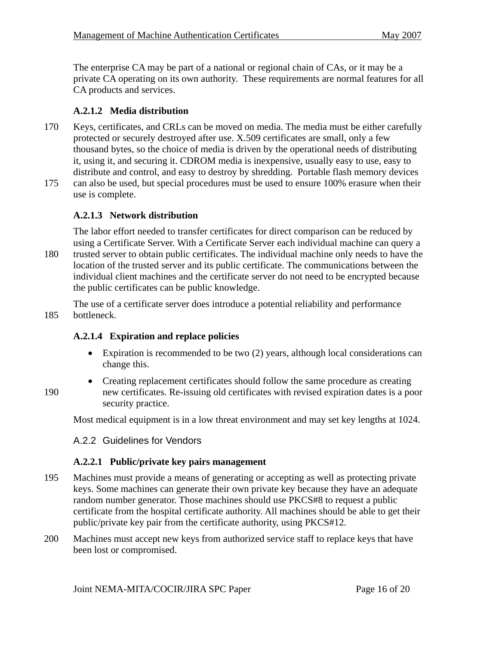The enterprise CA may be part of a national or regional chain of CAs, or it may be a private CA operating on its own authority. These requirements are normal features for all CA products and services.

#### **A.2.1.2 Media distribution**

- 170 Keys, certificates, and CRLs can be moved on media. The media must be either carefully protected or securely destroyed after use. X.509 certificates are small, only a few thousand bytes, so the choice of media is driven by the operational needs of distributing it, using it, and securing it. CDROM media is inexpensive, usually easy to use, easy to distribute and control, and easy to destroy by shredding. Portable flash memory devices
- 175 can also be used, but special procedures must be used to ensure 100% erasure when their use is complete.

#### **A.2.1.3 Network distribution**

The labor effort needed to transfer certificates for direct comparison can be reduced by using a Certificate Server. With a Certificate Server each individual machine can query a 180 trusted server to obtain public certificates. The individual machine only needs to have the location of the trusted server and its public certificate. The communications between the individual client machines and the certificate server do not need to be encrypted because the public certificates can be public knowledge.

The use of a certificate server does introduce a potential reliability and performance 185 bottleneck.

#### **A.2.1.4 Expiration and replace policies**

- Expiration is recommended to be two (2) years, although local considerations can change this.
- Creating replacement certificates should follow the same procedure as creating 190 new certificates. Re-issuing old certificates with revised expiration dates is a poor security practice.

Most medical equipment is in a low threat environment and may set key lengths at 1024.

#### A.2.2 Guidelines for Vendors

#### **A.2.2.1 Public/private key pairs management**

- 195 Machines must provide a means of generating or accepting as well as protecting private keys. Some machines can generate their own private key because they have an adequate random number generator. Those machines should use PKCS#8 to request a public certificate from the hospital certificate authority. All machines should be able to get their public/private key pair from the certificate authority, using PKCS#12.
- 200 Machines must accept new keys from authorized service staff to replace keys that have been lost or compromised.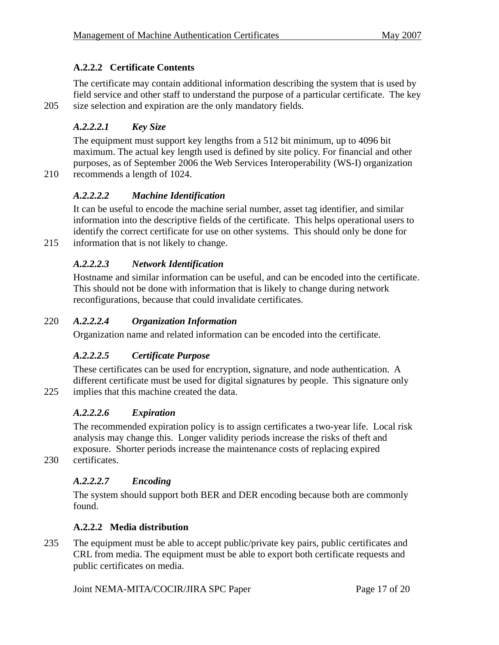#### **A.2.2.2 Certificate Contents**

The certificate may contain additional information describing the system that is used by field service and other staff to understand the purpose of a particular certificate. The key 205 size selection and expiration are the only mandatory fields.

#### *A.2.2.2.1 Key Size*

The equipment must support key lengths from a 512 bit minimum, up to 4096 bit maximum. The actual key length used is defined by site policy. For financial and other purposes, as of September 2006 the Web Services Interoperability (WS-I) organization

210 recommends a length of 1024.

#### *A.2.2.2.2 Machine Identification*

It can be useful to encode the machine serial number, asset tag identifier, and similar information into the descriptive fields of the certificate. This helps operational users to identify the correct certificate for use on other systems. This should only be done for 215 information that is not likely to change.

#### *A.2.2.2.3 Network Identification*

Hostname and similar information can be useful, and can be encoded into the certificate. This should not be done with information that is likely to change during network reconfigurations, because that could invalidate certificates.

#### 220 *A.2.2.2.4 Organization Information*

Organization name and related information can be encoded into the certificate.

#### *A.2.2.2.5 Certificate Purpose*

These certificates can be used for encryption, signature, and node authentication. A different certificate must be used for digital signatures by people. This signature only 225 implies that this machine created the data.

#### *A.2.2.2.6 Expiration*

The recommended expiration policy is to assign certificates a two-year life. Local risk analysis may change this. Longer validity periods increase the risks of theft and exposure. Shorter periods increase the maintenance costs of replacing expired

230 certificates.

#### *A.2.2.2.7 Encoding*

The system should support both BER and DER encoding because both are commonly found.

#### **A.2.2.2 Media distribution**

235 The equipment must be able to accept public/private key pairs, public certificates and CRL from media. The equipment must be able to export both certificate requests and public certificates on media.

Joint NEMA-MITA/COCIR/JIRA SPC Paper Page 17 of 20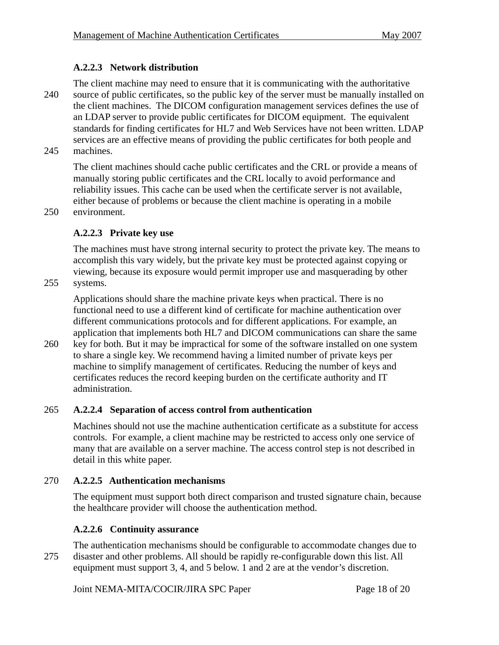#### **A.2.2.3 Network distribution**

The client machine may need to ensure that it is communicating with the authoritative 240 source of public certificates, so the public key of the server must be manually installed on the client machines. The DICOM configuration management services defines the use of an LDAP server to provide public certificates for DICOM equipment. The equivalent standards for finding certificates for HL7 and Web Services have not been written. LDAP services are an effective means of providing the public certificates for both people and 245 machines.

The client machines should cache public certificates and the CRL or provide a means of manually storing public certificates and the CRL locally to avoid performance and reliability issues. This cache can be used when the certificate server is not available, either because of problems or because the client machine is operating in a mobile 250 environment.

#### **A.2.2.3 Private key use**

The machines must have strong internal security to protect the private key. The means to accomplish this vary widely, but the private key must be protected against copying or viewing, because its exposure would permit improper use and masquerading by other

255 systems.

Applications should share the machine private keys when practical. There is no functional need to use a different kind of certificate for machine authentication over different communications protocols and for different applications. For example, an application that implements both HL7 and DICOM communications can share the same

260 key for both. But it may be impractical for some of the software installed on one system to share a single key. We recommend having a limited number of private keys per machine to simplify management of certificates. Reducing the number of keys and certificates reduces the record keeping burden on the certificate authority and IT administration.

#### 265 **A.2.2.4 Separation of access control from authentication**

Machines should not use the machine authentication certificate as a substitute for access controls. For example, a client machine may be restricted to access only one service of many that are available on a server machine. The access control step is not described in detail in this white paper.

#### 270 **A.2.2.5 Authentication mechanisms**

The equipment must support both direct comparison and trusted signature chain, because the healthcare provider will choose the authentication method.

#### **A.2.2.6 Continuity assurance**

The authentication mechanisms should be configurable to accommodate changes due to 275 disaster and other problems. All should be rapidly re-configurable down this list. All equipment must support 3, 4, and 5 below. 1 and 2 are at the vendor's discretion.

Joint NEMA-MITA/COCIR/JIRA SPC Paper Page 18 of 20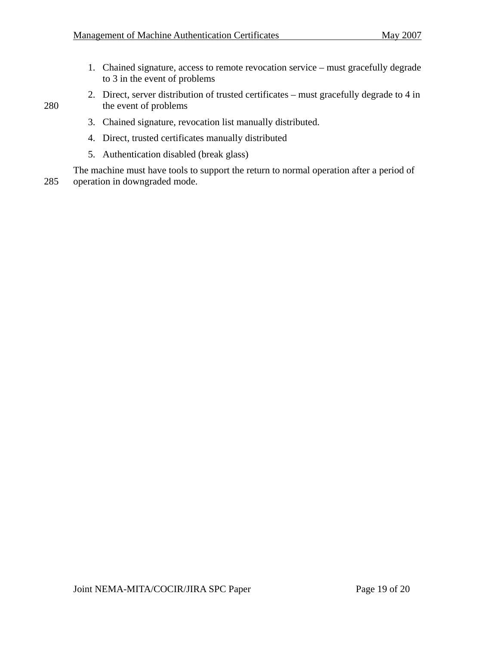- 1. Chained signature, access to remote revocation service must gracefully degrade to 3 in the event of problems
- 2. Direct, server distribution of trusted certificates must gracefully degrade to 4 in 280 the event of problems

- 3. Chained signature, revocation list manually distributed.
- 4. Direct, trusted certificates manually distributed
- 5. Authentication disabled (break glass)

The machine must have tools to support the return to normal operation after a period of 285 operation in downgraded mode.